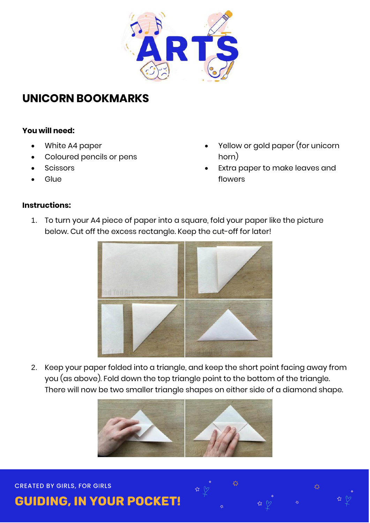

### **UNICORN BOOKMARKS**

#### **You will need:**

- White A4 paper
- Coloured pencils or pens
- **Scissors**
- **Glue**
- Yellow or gold paper (for unicorn horn)
- Extra paper to make leaves and flowers

#### **Instructions:**

1. To turn your A4 piece of paper into a square, fold your paper like the picture below. Cut off the excess rectangle. Keep the cut-off for later!



2. Keep your paper folded into a triangle, and keep the short point facing away from you (as above). Fold down the top triangle point to the bottom of the triangle. There will now be two smaller triangle shapes on either side of a diamond shape.





# **GUIDING, IN YOUR POCKET!**